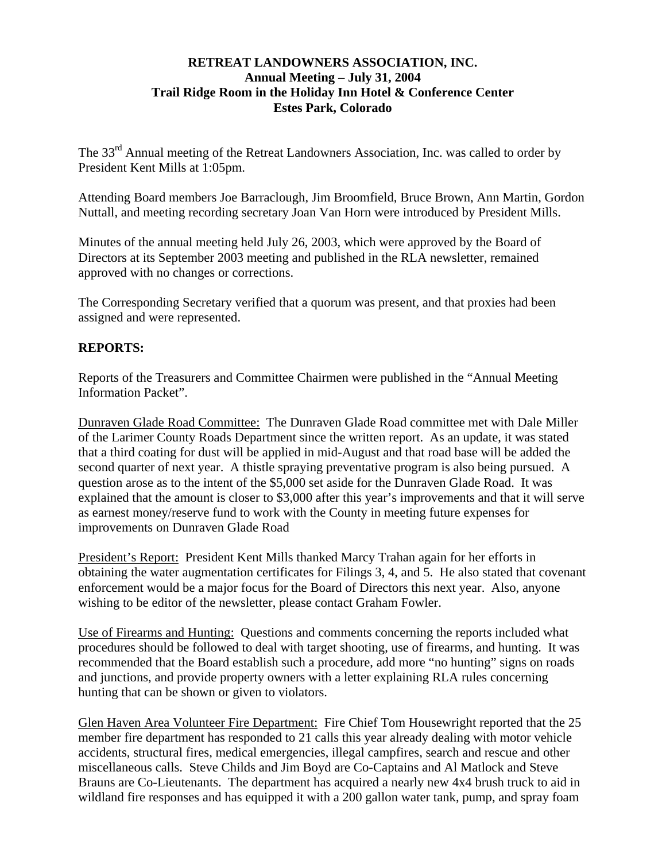## **RETREAT LANDOWNERS ASSOCIATION, INC. Annual Meeting – July 31, 2004 Trail Ridge Room in the Holiday Inn Hotel & Conference Center Estes Park, Colorado**

The 33<sup>rd</sup> Annual meeting of the Retreat Landowners Association, Inc. was called to order by President Kent Mills at 1:05pm.

Attending Board members Joe Barraclough, Jim Broomfield, Bruce Brown, Ann Martin, Gordon Nuttall, and meeting recording secretary Joan Van Horn were introduced by President Mills.

Minutes of the annual meeting held July 26, 2003, which were approved by the Board of Directors at its September 2003 meeting and published in the RLA newsletter, remained approved with no changes or corrections.

The Corresponding Secretary verified that a quorum was present, and that proxies had been assigned and were represented.

## **REPORTS:**

Reports of the Treasurers and Committee Chairmen were published in the "Annual Meeting Information Packet".

Dunraven Glade Road Committee: The Dunraven Glade Road committee met with Dale Miller of the Larimer County Roads Department since the written report. As an update, it was stated that a third coating for dust will be applied in mid-August and that road base will be added the second quarter of next year. A thistle spraying preventative program is also being pursued. A question arose as to the intent of the \$5,000 set aside for the Dunraven Glade Road. It was explained that the amount is closer to \$3,000 after this year's improvements and that it will serve as earnest money/reserve fund to work with the County in meeting future expenses for improvements on Dunraven Glade Road

President's Report: President Kent Mills thanked Marcy Trahan again for her efforts in obtaining the water augmentation certificates for Filings 3, 4, and 5. He also stated that covenant enforcement would be a major focus for the Board of Directors this next year. Also, anyone wishing to be editor of the newsletter, please contact Graham Fowler.

Use of Firearms and Hunting: Questions and comments concerning the reports included what procedures should be followed to deal with target shooting, use of firearms, and hunting. It was recommended that the Board establish such a procedure, add more "no hunting" signs on roads and junctions, and provide property owners with a letter explaining RLA rules concerning hunting that can be shown or given to violators.

Glen Haven Area Volunteer Fire Department: Fire Chief Tom Housewright reported that the 25 member fire department has responded to 21 calls this year already dealing with motor vehicle accidents, structural fires, medical emergencies, illegal campfires, search and rescue and other miscellaneous calls. Steve Childs and Jim Boyd are Co-Captains and Al Matlock and Steve Brauns are Co-Lieutenants. The department has acquired a nearly new 4x4 brush truck to aid in wildland fire responses and has equipped it with a 200 gallon water tank, pump, and spray foam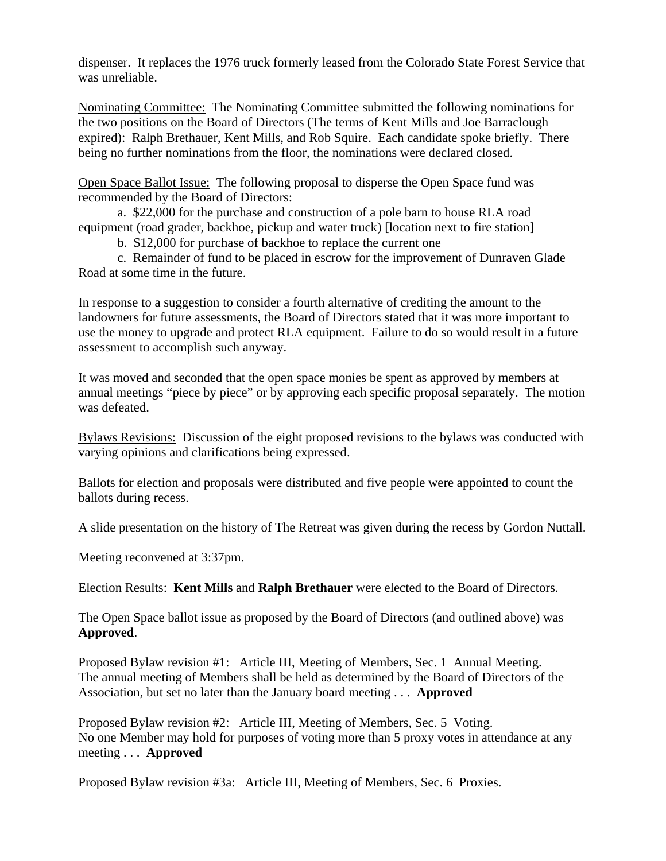dispenser. It replaces the 1976 truck formerly leased from the Colorado State Forest Service that was unreliable.

Nominating Committee: The Nominating Committee submitted the following nominations for the two positions on the Board of Directors (The terms of Kent Mills and Joe Barraclough expired): Ralph Brethauer, Kent Mills, and Rob Squire. Each candidate spoke briefly. There being no further nominations from the floor, the nominations were declared closed.

Open Space Ballot Issue: The following proposal to disperse the Open Space fund was recommended by the Board of Directors:

 a. \$22,000 for the purchase and construction of a pole barn to house RLA road equipment (road grader, backhoe, pickup and water truck) [location next to fire station]

b. \$12,000 for purchase of backhoe to replace the current one

 c. Remainder of fund to be placed in escrow for the improvement of Dunraven Glade Road at some time in the future.

In response to a suggestion to consider a fourth alternative of crediting the amount to the landowners for future assessments, the Board of Directors stated that it was more important to use the money to upgrade and protect RLA equipment. Failure to do so would result in a future assessment to accomplish such anyway.

It was moved and seconded that the open space monies be spent as approved by members at annual meetings "piece by piece" or by approving each specific proposal separately. The motion was defeated.

Bylaws Revisions: Discussion of the eight proposed revisions to the bylaws was conducted with varying opinions and clarifications being expressed.

Ballots for election and proposals were distributed and five people were appointed to count the ballots during recess.

A slide presentation on the history of The Retreat was given during the recess by Gordon Nuttall.

Meeting reconvened at 3:37pm.

Election Results: **Kent Mills** and **Ralph Brethauer** were elected to the Board of Directors.

The Open Space ballot issue as proposed by the Board of Directors (and outlined above) was **Approved**.

Proposed Bylaw revision #1: Article III, Meeting of Members, Sec. 1 Annual Meeting. The annual meeting of Members shall be held as determined by the Board of Directors of the Association, but set no later than the January board meeting . . . **Approved**

Proposed Bylaw revision #2: Article III, Meeting of Members, Sec. 5 Voting. No one Member may hold for purposes of voting more than 5 proxy votes in attendance at any meeting . . . **Approved** 

Proposed Bylaw revision #3a: Article III, Meeting of Members, Sec. 6 Proxies.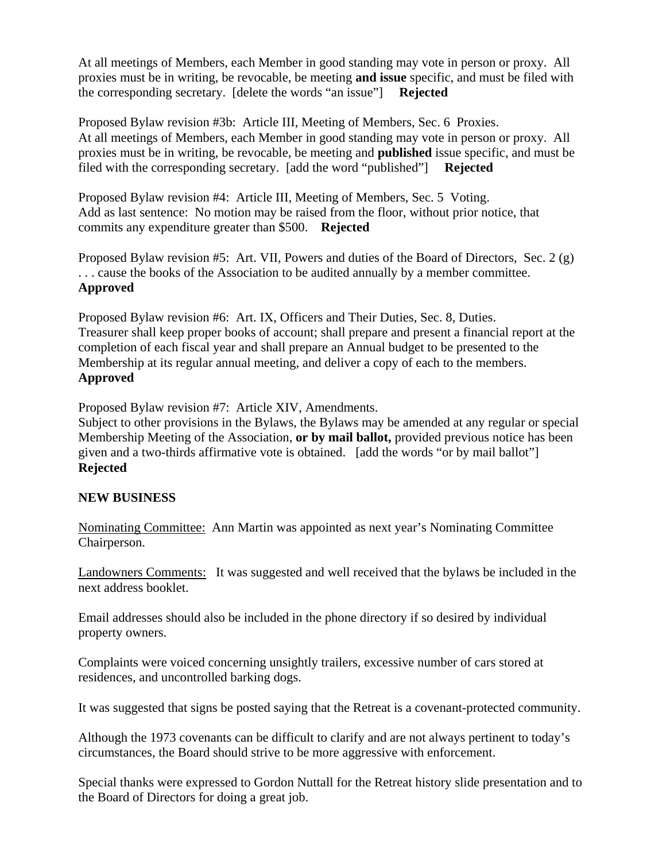At all meetings of Members, each Member in good standing may vote in person or proxy. All proxies must be in writing, be revocable, be meeting **and issue** specific, and must be filed with the corresponding secretary. [delete the words "an issue"] **Rejected**

Proposed Bylaw revision #3b: Article III, Meeting of Members, Sec. 6 Proxies. At all meetings of Members, each Member in good standing may vote in person or proxy. All proxies must be in writing, be revocable, be meeting and **published** issue specific, and must be filed with the corresponding secretary. [add the word "published"] **Rejected**

Proposed Bylaw revision #4: Article III, Meeting of Members, Sec. 5 Voting. Add as last sentence: No motion may be raised from the floor, without prior notice, that commits any expenditure greater than \$500. **Rejected**

Proposed Bylaw revision #5: Art. VII, Powers and duties of the Board of Directors, Sec. 2 (g) . . . cause the books of the Association to be audited annually by a member committee. **Approved**

Proposed Bylaw revision #6: Art. IX, Officers and Their Duties, Sec. 8, Duties. Treasurer shall keep proper books of account; shall prepare and present a financial report at the completion of each fiscal year and shall prepare an Annual budget to be presented to the Membership at its regular annual meeting, and deliver a copy of each to the members. **Approved** 

Proposed Bylaw revision #7: Article XIV, Amendments.

Subject to other provisions in the Bylaws, the Bylaws may be amended at any regular or special Membership Meeting of the Association, **or by mail ballot,** provided previous notice has been given and a two-thirds affirmative vote is obtained. [add the words "or by mail ballot"] **Rejected** 

## **NEW BUSINESS**

Nominating Committee: Ann Martin was appointed as next year's Nominating Committee Chairperson.

Landowners Comments: It was suggested and well received that the bylaws be included in the next address booklet.

Email addresses should also be included in the phone directory if so desired by individual property owners.

Complaints were voiced concerning unsightly trailers, excessive number of cars stored at residences, and uncontrolled barking dogs.

It was suggested that signs be posted saying that the Retreat is a covenant-protected community.

Although the 1973 covenants can be difficult to clarify and are not always pertinent to today's circumstances, the Board should strive to be more aggressive with enforcement.

Special thanks were expressed to Gordon Nuttall for the Retreat history slide presentation and to the Board of Directors for doing a great job.